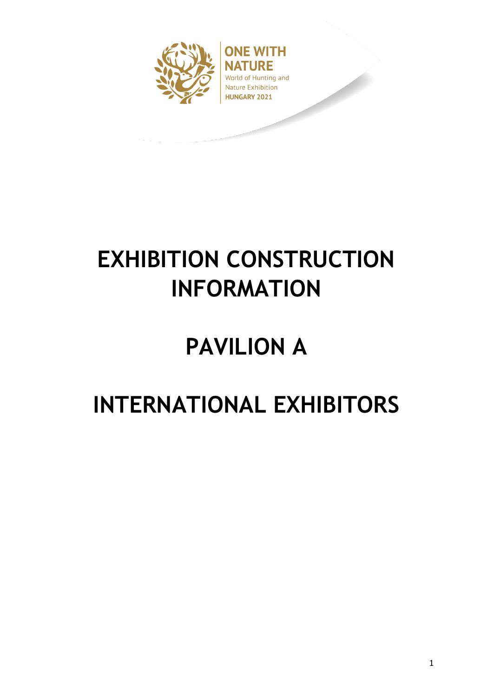

**ONE WITH** IRE World of Hunting and **Nature Exhibition** HUNGARY 2021

# **EXHIBITION CONSTRUCTION INFORMATION**

# **PAVILION A**

# **INTERNATIONAL EXHIBITORS**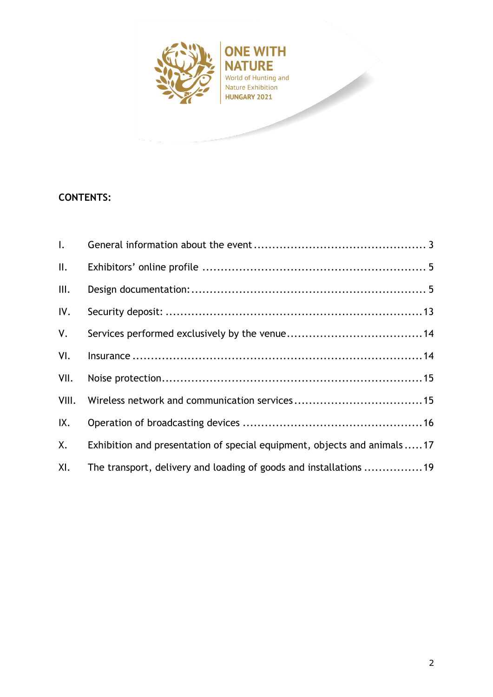

**ONE WITH NATURE** World of Hunting and Nature Exhibition<br>HUNGARY 2021

# **CONTENTS:**

| $\mathsf{l}$ .  |                                                                          |
|-----------------|--------------------------------------------------------------------------|
| $\mathbf{II}$ . |                                                                          |
| III.            |                                                                          |
| IV.             |                                                                          |
| V.              |                                                                          |
| VI.             |                                                                          |
| VII.            |                                                                          |
| VIII.           |                                                                          |
| IX.             |                                                                          |
| X.              | Exhibition and presentation of special equipment, objects and animals 17 |
| XI.             | The transport, delivery and loading of goods and installations 19        |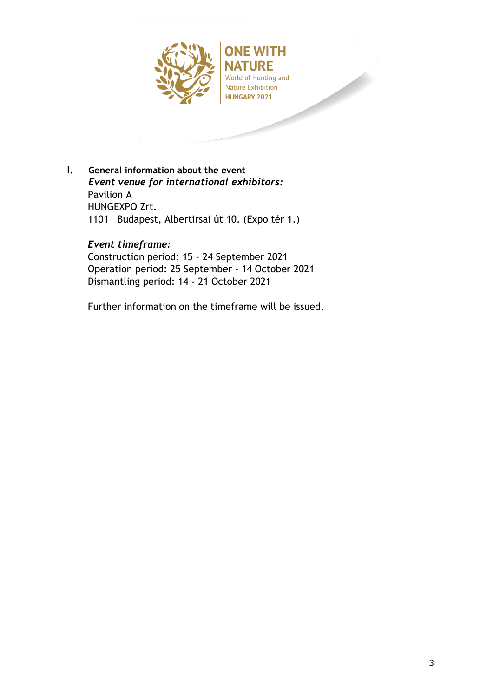

<span id="page-2-0"></span>**I. General information about the event** *Event venue for international exhibitors:*  Pavilion A HUNGEXPO Zrt. 1101 Budapest, Albertirsai út 10. (Expo tér 1.)

## *Event timeframe:*

Construction period: 15 - 24 September 2021 Operation period: 25 September - 14 October 2021 Dismantling period: 14 - 21 October 2021

Further information on the timeframe will be issued.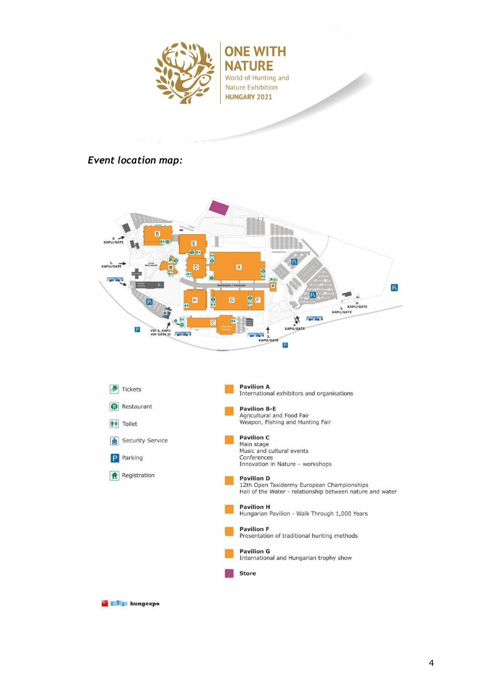

# *Event location map:*



**Example 2** hungexpo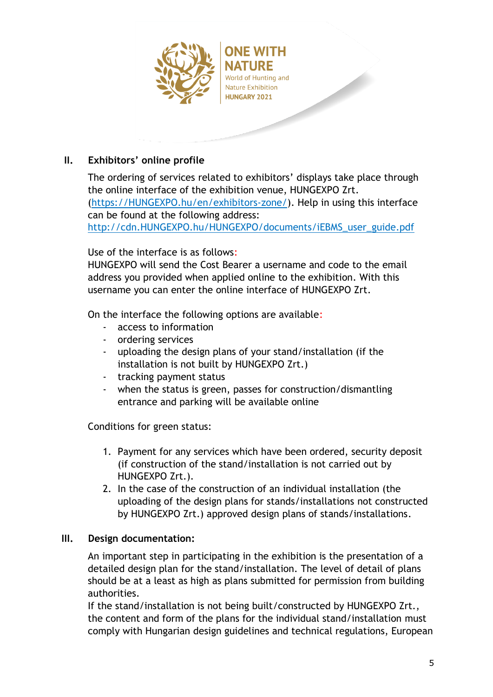

# <span id="page-4-0"></span>**II. Exhibitors' online profile**

The ordering of services related to exhibitors' displays take place through the online interface of the exhibition venue, HUNGEXPO Zrt. [\(https://HUNGEXPO.hu/en/exhibitors-zone/\)](https://hungexpo.hu/en/exhibitors-zone/). Help in using this interface can be found at the following address: [http://cdn.HUNGEXPO.hu/HUNGEXPO/documents/iEBMS\\_user\\_guide.pdf](http://cdn.hungexpo.hu/hungexpo/documents/iEBMS_user_guide.pdf)

Use of the interface is as follows:

HUNGEXPO will send the Cost Bearer a username and code to the email address you provided when applied online to the exhibition. With this username you can enter the online interface of HUNGEXPO Zrt.

On the interface the following options are available:

- access to information
- ordering services
- uploading the design plans of your stand/installation (if the installation is not built by HUNGEXPO Zrt.)
- tracking payment status
- when the status is green, passes for construction/dismantling entrance and parking will be available online

Conditions for green status:

- 1. Payment for any services which have been ordered, security deposit (if construction of the stand/installation is not carried out by HUNGEXPO Zrt.).
- 2. In the case of the construction of an individual installation (the uploading of the design plans for stands/installations not constructed by HUNGEXPO Zrt.) approved design plans of stands/installations.

## <span id="page-4-1"></span>**III. Design documentation:**

An important step in participating in the exhibition is the presentation of a detailed design plan for the stand/installation. The level of detail of plans should be at a least as high as plans submitted for permission from building authorities.

If the stand/installation is not being built/constructed by HUNGEXPO Zrt., the content and form of the plans for the individual stand/installation must comply with Hungarian design guidelines and technical regulations, European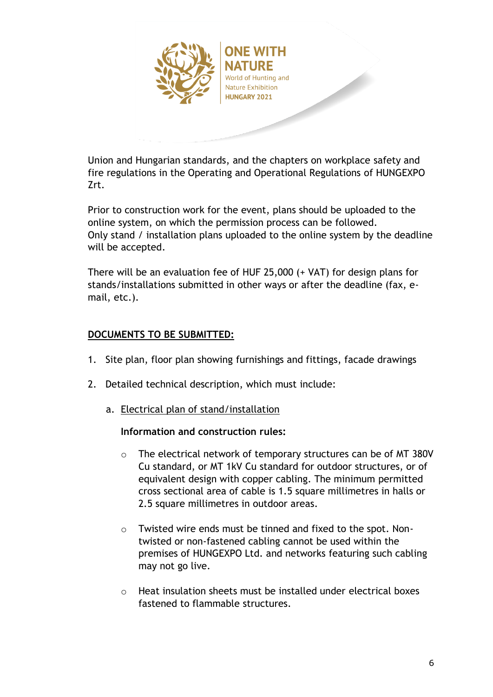

Union and Hungarian standards, and the chapters on workplace safety and fire regulations in the Operating and Operational Regulations of HUNGEXPO Zrt.

Prior to construction work for the event, plans should be uploaded to the online system, on which the permission process can be followed. Only stand / installation plans uploaded to the online system by the deadline will be accepted.

There will be an evaluation fee of HUF 25,000 (+ VAT) for design plans for stands/installations submitted in other ways or after the deadline (fax, email, etc.).

# **DOCUMENTS TO BE SUBMITTED:**

- 1. Site plan, floor plan showing furnishings and fittings, facade drawings
- 2. Detailed technical description, which must include:
	- a. Electrical plan of stand/installation

## **Information and construction rules:**

- o The electrical network of temporary structures can be of MT 380V Cu standard, or MT 1kV Cu standard for outdoor structures, or of equivalent design with copper cabling. The minimum permitted cross sectional area of cable is 1.5 square millimetres in halls or 2.5 square millimetres in outdoor areas.
- o Twisted wire ends must be tinned and fixed to the spot. Nontwisted or non-fastened cabling cannot be used within the premises of HUNGEXPO Ltd. and networks featuring such cabling may not go live.
- o Heat insulation sheets must be installed under electrical boxes fastened to flammable structures.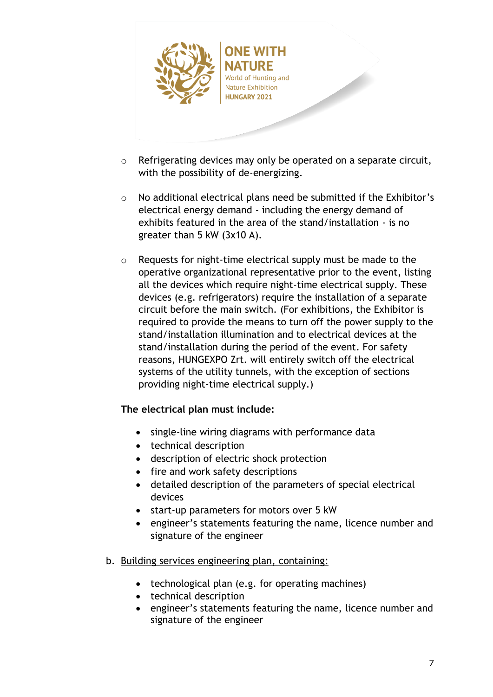

- World of Hunting and **Nature Exhibition HUNGARY 2021**
- o Refrigerating devices may only be operated on a separate circuit, with the possibility of de-energizing.
- o No additional electrical plans need be submitted if the Exhibitor's electrical energy demand - including the energy demand of exhibits featured in the area of the stand/installation - is no greater than 5 kW (3x10 A).
- o Requests for night-time electrical supply must be made to the operative organizational representative prior to the event, listing all the devices which require night-time electrical supply. These devices (e.g. refrigerators) require the installation of a separate circuit before the main switch. (For exhibitions, the Exhibitor is required to provide the means to turn off the power supply to the stand/installation illumination and to electrical devices at the stand/installation during the period of the event. For safety reasons, HUNGEXPO Zrt. will entirely switch off the electrical systems of the utility tunnels, with the exception of sections providing night-time electrical supply.)

# **The electrical plan must include:**

- single-line wiring diagrams with performance data
- technical description
- description of electric shock protection
- fire and work safety descriptions
- detailed description of the parameters of special electrical devices
- start-up parameters for motors over 5 kW
- engineer's statements featuring the name, licence number and signature of the engineer
- b. Building services engineering plan, containing:
	- technological plan (e.g. for operating machines)
	- technical description
	- engineer's statements featuring the name, licence number and signature of the engineer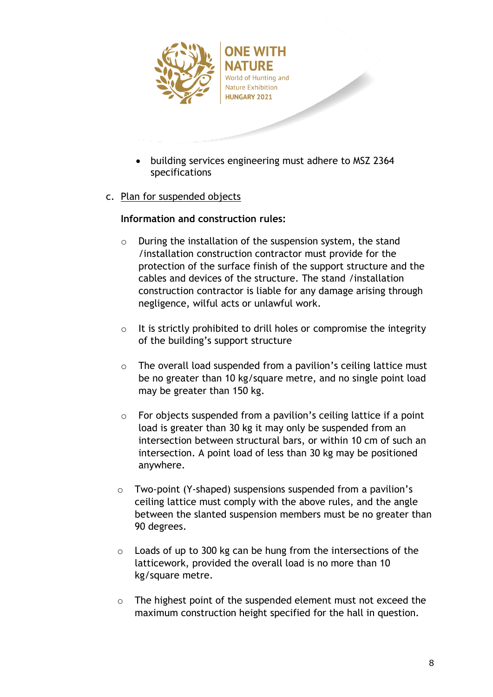

- building services engineering must adhere to MSZ 2364 specifications
- c. Plan for suspended objects

## **Information and construction rules:**

- o During the installation of the suspension system, the stand /installation construction contractor must provide for the protection of the surface finish of the support structure and the cables and devices of the structure. The stand /installation construction contractor is liable for any damage arising through negligence, wilful acts or unlawful work.
- $\circ$  It is strictly prohibited to drill holes or compromise the integrity of the building's support structure
- o The overall load suspended from a pavilion's ceiling lattice must be no greater than 10 kg/square metre, and no single point load may be greater than 150 kg.
- $\circ$  For objects suspended from a pavilion's ceiling lattice if a point load is greater than 30 kg it may only be suspended from an intersection between structural bars, or within 10 cm of such an intersection. A point load of less than 30 kg may be positioned anywhere.
- o Two-point (Y-shaped) suspensions suspended from a pavilion's ceiling lattice must comply with the above rules, and the angle between the slanted suspension members must be no greater than 90 degrees.
- o Loads of up to 300 kg can be hung from the intersections of the latticework, provided the overall load is no more than 10 kg/square metre.
- o The highest point of the suspended element must not exceed the maximum construction height specified for the hall in question.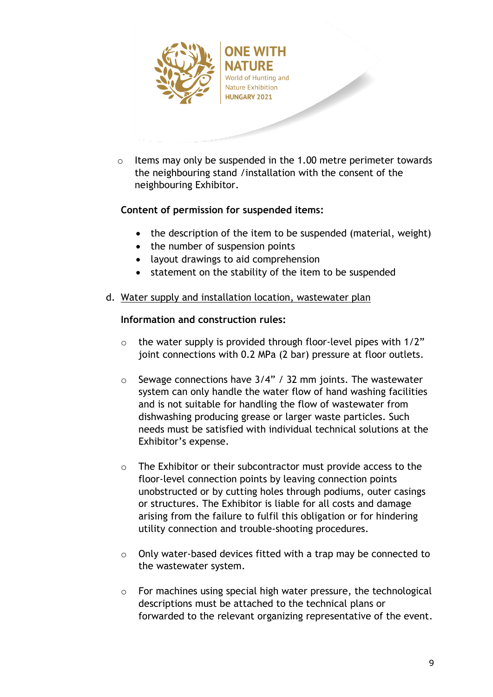

o Items may only be suspended in the 1.00 metre perimeter towards the neighbouring stand /installation with the consent of the neighbouring Exhibitor.

# **Content of permission for suspended items:**

- the description of the item to be suspended (material, weight)
- the number of suspension points
- layout drawings to aid comprehension
- statement on the stability of the item to be suspended
- d. Water supply and installation location, wastewater plan

## **Information and construction rules:**

- $\circ$  the water supply is provided through floor-level pipes with 1/2" joint connections with 0.2 MPa (2 bar) pressure at floor outlets.
- $\circ$  Sewage connections have 3/4" / 32 mm joints. The wastewater system can only handle the water flow of hand washing facilities and is not suitable for handling the flow of wastewater from dishwashing producing grease or larger waste particles. Such needs must be satisfied with individual technical solutions at the Exhibitor's expense.
- o The Exhibitor or their subcontractor must provide access to the floor-level connection points by leaving connection points unobstructed or by cutting holes through podiums, outer casings or structures. The Exhibitor is liable for all costs and damage arising from the failure to fulfil this obligation or for hindering utility connection and trouble-shooting procedures.
- o Only water-based devices fitted with a trap may be connected to the wastewater system.
- o For machines using special high water pressure, the technological descriptions must be attached to the technical plans or forwarded to the relevant organizing representative of the event.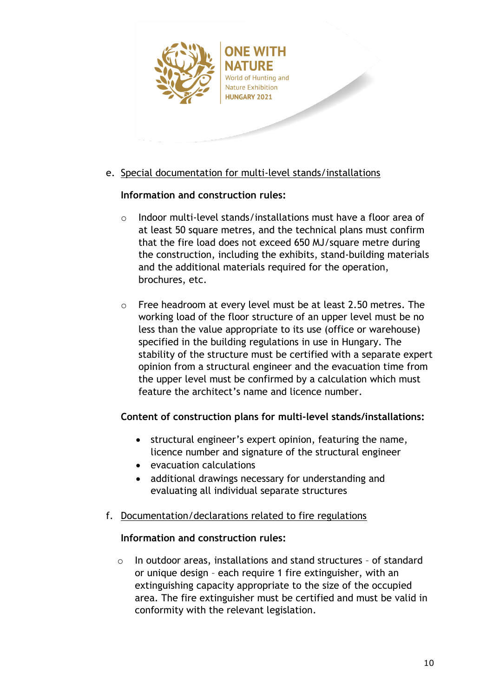

- **NATURE** World of Hunting and **Nature Exhibition HUNGARY 2021**
- e. Special documentation for multi-level stands/installations

# **Information and construction rules:**

- $\circ$  Indoor multi-level stands/installations must have a floor area of at least 50 square metres, and the technical plans must confirm that the fire load does not exceed 650 MJ/square metre during the construction, including the exhibits, stand-building materials and the additional materials required for the operation, brochures, etc.
- o Free headroom at every level must be at least 2.50 metres. The working load of the floor structure of an upper level must be no less than the value appropriate to its use (office or warehouse) specified in the building regulations in use in Hungary. The stability of the structure must be certified with a separate expert opinion from a structural engineer and the evacuation time from the upper level must be confirmed by a calculation which must feature the architect's name and licence number.

## **Content of construction plans for multi-level stands/installations:**

- structural engineer's expert opinion, featuring the name, licence number and signature of the structural engineer
- evacuation calculations
- additional drawings necessary for understanding and evaluating all individual separate structures
- f. Documentation/declarations related to fire regulations

## **Information and construction rules:**

o In outdoor areas, installations and stand structures – of standard or unique design – each require 1 fire extinguisher, with an extinguishing capacity appropriate to the size of the occupied area. The fire extinguisher must be certified and must be valid in conformity with the relevant legislation.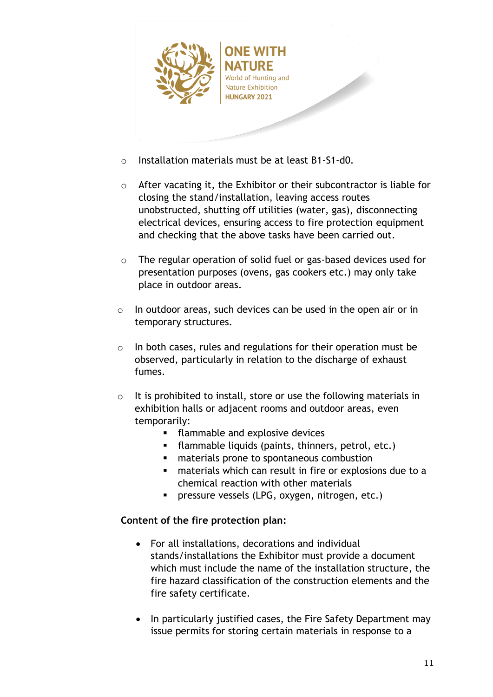

- o Installation materials must be at least B1-S1-d0.
- o After vacating it, the Exhibitor or their subcontractor is liable for closing the stand/installation, leaving access routes unobstructed, shutting off utilities (water, gas), disconnecting electrical devices, ensuring access to fire protection equipment and checking that the above tasks have been carried out.
- $\circ$  The regular operation of solid fuel or gas-based devices used for presentation purposes (ovens, gas cookers etc.) may only take place in outdoor areas.
- o In outdoor areas, such devices can be used in the open air or in temporary structures.
- o In both cases, rules and regulations for their operation must be observed, particularly in relation to the discharge of exhaust fumes.
- o It is prohibited to install, store or use the following materials in exhibition halls or adjacent rooms and outdoor areas, even temporarily:
	- flammable and explosive devices
	- flammable liquids (paints, thinners, petrol, etc.)
	- materials prone to spontaneous combustion
	- materials which can result in fire or explosions due to a chemical reaction with other materials
	- **·** pressure vessels (LPG, oxygen, nitrogen, etc.)

## **Content of the fire protection plan:**

- For all installations, decorations and individual stands/installations the Exhibitor must provide a document which must include the name of the installation structure, the fire hazard classification of the construction elements and the fire safety certificate.
- In particularly justified cases, the Fire Safety Department may issue permits for storing certain materials in response to a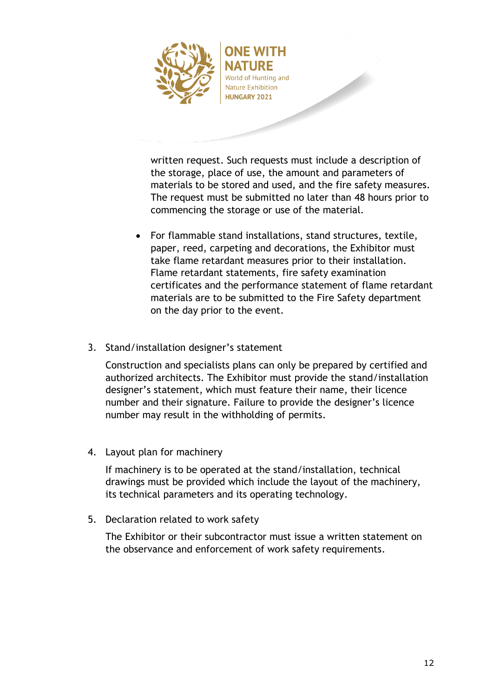

World of Hunting and **Nature Exhibition HUNGARY 2021** 

written request. Such requests must include a description of the storage, place of use, the amount and parameters of materials to be stored and used, and the fire safety measures. The request must be submitted no later than 48 hours prior to commencing the storage or use of the material.

- For flammable stand installations, stand structures, textile, paper, reed, carpeting and decorations, the Exhibitor must take flame retardant measures prior to their installation. Flame retardant statements, fire safety examination certificates and the performance statement of flame retardant materials are to be submitted to the Fire Safety department on the day prior to the event.
- 3. Stand/installation designer's statement

Construction and specialists plans can only be prepared by certified and authorized architects. The Exhibitor must provide the stand/installation designer's statement, which must feature their name, their licence number and their signature. Failure to provide the designer's licence number may result in the withholding of permits.

4. Layout plan for machinery

If machinery is to be operated at the stand/installation, technical drawings must be provided which include the layout of the machinery, its technical parameters and its operating technology.

5. Declaration related to work safety

The Exhibitor or their subcontractor must issue a written statement on the observance and enforcement of work safety requirements.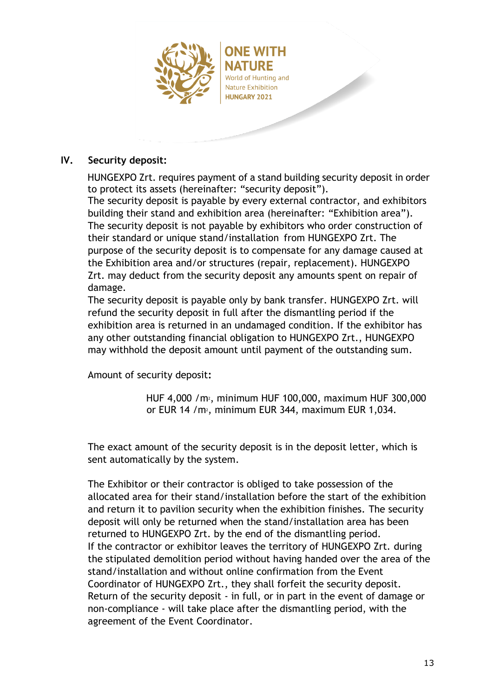

# World of Hunting and **Nature Exhibition HUNGARY 2021**

## <span id="page-12-0"></span>**IV. Security deposit:**

HUNGEXPO Zrt. requires payment of a stand building security deposit in order to protect its assets (hereinafter: "security deposit"). The security deposit is payable by every external contractor, and exhibitors building their stand and exhibition area (hereinafter: "Exhibition area"). The security deposit is not payable by exhibitors who order construction of their standard or unique stand/installation from HUNGEXPO Zrt. The purpose of the security deposit is to compensate for any damage caused at the Exhibition area and/or structures (repair, replacement). HUNGEXPO Zrt. may deduct from the security deposit any amounts spent on repair of damage.

The security deposit is payable only by bank transfer. HUNGEXPO Zrt. will refund the security deposit in full after the dismantling period if the exhibition area is returned in an undamaged condition. If the exhibitor has any other outstanding financial obligation to HUNGEXPO Zrt., HUNGEXPO may withhold the deposit amount until payment of the outstanding sum.

Amount of security deposit**:**

HUF 4,000 /m2, minimum HUF 100,000, maximum HUF 300,000 or EUR 14 /m2, minimum EUR 344, maximum EUR 1,034.

The exact amount of the security deposit is in the deposit letter, which is sent automatically by the system.

The Exhibitor or their contractor is obliged to take possession of the allocated area for their stand/installation before the start of the exhibition and return it to pavilion security when the exhibition finishes. The security deposit will only be returned when the stand/installation area has been returned to HUNGEXPO Zrt. by the end of the dismantling period. If the contractor or exhibitor leaves the territory of HUNGEXPO Zrt. during the stipulated demolition period without having handed over the area of the stand/installation and without online confirmation from the Event Coordinator of HUNGEXPO Zrt., they shall forfeit the security deposit. Return of the security deposit - in full, or in part in the event of damage or non-compliance - will take place after the dismantling period, with the agreement of the Event Coordinator.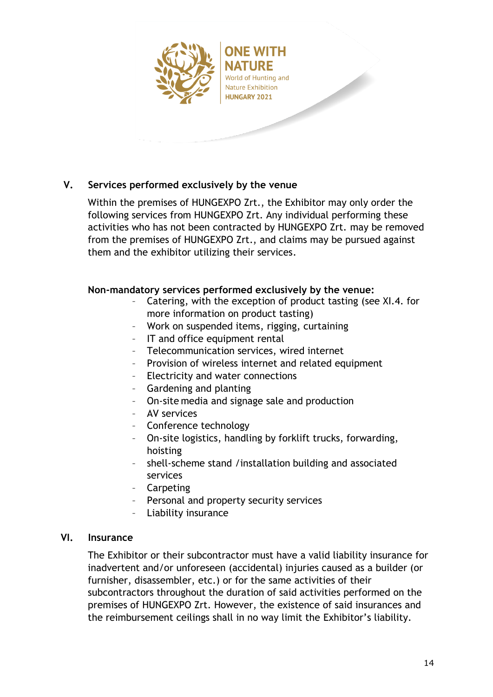

# <span id="page-13-0"></span>**V. Services performed exclusively by the venue**

Within the premises of HUNGEXPO Zrt., the Exhibitor may only order the following services from HUNGEXPO Zrt. Any individual performing these activities who has not been contracted by HUNGEXPO Zrt. may be removed from the premises of HUNGEXPO Zrt., and claims may be pursued against them and the exhibitor utilizing their services.

### **Non-mandatory services performed exclusively by the venue:**

- Catering, with the exception of product tasting (see XI.4. for more information on product tasting)
- Work on suspended items, rigging, curtaining
- IT and office equipment rental
- Telecommunication services, wired internet
- Provision of wireless internet and related equipment
- Electricity and water connections
- Gardening and planting
- On-site media and signage sale and production
- AV services
- Conference technology
- On-site logistics, handling by forklift trucks, forwarding, hoisting
- shell-scheme stand /installation building and associated services
- Carpeting
- Personal and property security services
- Liability insurance

#### <span id="page-13-1"></span>**VI. Insurance**

The Exhibitor or their subcontractor must have a valid liability insurance for inadvertent and/or unforeseen (accidental) injuries caused as a builder (or furnisher, disassembler, etc.) or for the same activities of their subcontractors throughout the duration of said activities performed on the premises of HUNGEXPO Zrt. However, the existence of said insurances and the reimbursement ceilings shall in no way limit the Exhibitor's liability.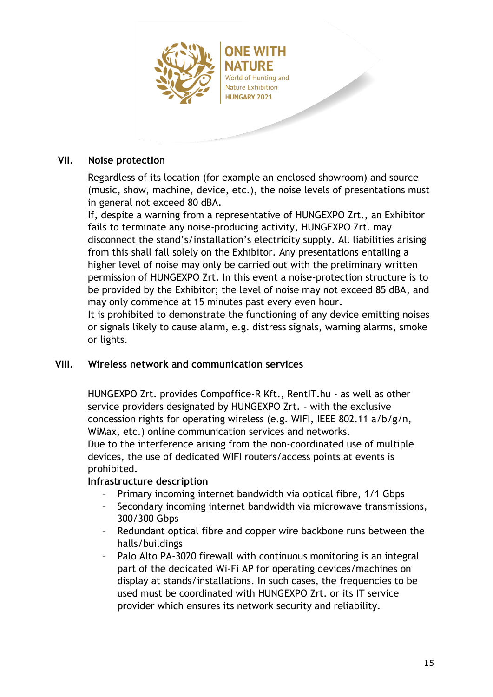

NATURF World of Hunting and **Nature Exhibition HUNGARY 2021** 

### <span id="page-14-0"></span>**VII. Noise protection**

Regardless of its location (for example an enclosed showroom) and source (music, show, machine, device, etc.), the noise levels of presentations must in general not exceed 80 dBA.

If, despite a warning from a representative of HUNGEXPO Zrt., an Exhibitor fails to terminate any noise-producing activity, HUNGEXPO Zrt. may disconnect the stand's/installation's electricity supply. All liabilities arising from this shall fall solely on the Exhibitor. Any presentations entailing a higher level of noise may only be carried out with the preliminary written permission of HUNGEXPO Zrt. In this event a noise-protection structure is to be provided by the Exhibitor; the level of noise may not exceed 85 dBA, and may only commence at 15 minutes past every even hour.

It is prohibited to demonstrate the functioning of any device emitting noises or signals likely to cause alarm, e.g. distress signals, warning alarms, smoke or lights.

#### <span id="page-14-1"></span>**VIII. Wireless network and communication services**

HUNGEXPO Zrt. provides Compoffice-R Kft., RentIT.hu - as well as other service providers designated by HUNGEXPO Zrt. – with the exclusive concession rights for operating wireless (e.g. WIFI, IEEE 802.11 a/b/g/n, WiMax, etc.) online communication services and networks. Due to the interference arising from the non-coordinated use of multiple devices, the use of dedicated WIFI routers/access points at events is prohibited.

## **Infrastructure description**

- Primary incoming internet bandwidth via optical fibre, 1/1 Gbps
- Secondary incoming internet bandwidth via microwave transmissions, 300/300 Gbps
- Redundant optical fibre and copper wire backbone runs between the halls/buildings
- Palo Alto PA-3020 firewall with continuous monitoring is an integral part of the dedicated Wi-Fi AP for operating devices/machines on display at stands/installations. In such cases, the frequencies to be used must be coordinated with HUNGEXPO Zrt. or its IT service provider which ensures its network security and reliability.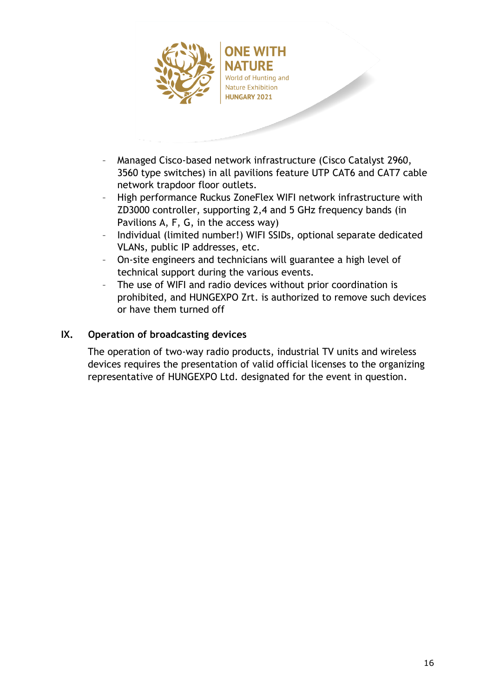

NATURE World of Hunting and **Nature Exhibition HUNGARY 2021** 

- Managed Cisco-based network infrastructure (Cisco Catalyst 2960, 3560 type switches) in all pavilions feature UTP CAT6 and CAT7 cable network trapdoor floor outlets.
- High performance Ruckus ZoneFlex WIFI network infrastructure with ZD3000 controller, supporting 2,4 and 5 GHz frequency bands (in Pavilions A, F, G, in the access way)
- Individual (limited number!) WIFI SSIDs, optional separate dedicated VLANs, public IP addresses, etc.
- On-site engineers and technicians will guarantee a high level of technical support during the various events.
- The use of WIFI and radio devices without prior coordination is prohibited, and HUNGEXPO Zrt. is authorized to remove such devices or have them turned off

# <span id="page-15-0"></span>**IX. Operation of broadcasting devices**

The operation of two-way radio products, industrial TV units and wireless devices requires the presentation of valid official licenses to the organizing representative of HUNGEXPO Ltd. designated for the event in question.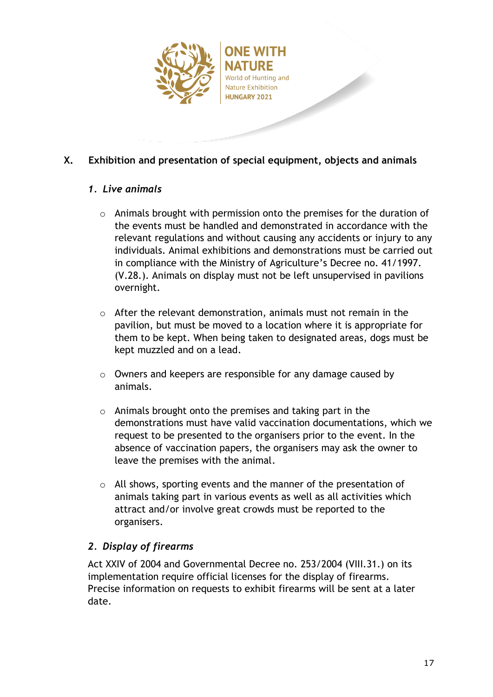

# <span id="page-16-0"></span>**X. Exhibition and presentation of special equipment, objects and animals**

# *1. Live animals*

- o Animals brought with permission onto the premises for the duration of the events must be handled and demonstrated in accordance with the relevant regulations and without causing any accidents or injury to any individuals. Animal exhibitions and demonstrations must be carried out in compliance with the Ministry of Agriculture's Decree no. 41/1997. (V.28.). Animals on display must not be left unsupervised in pavilions overnight.
- o After the relevant demonstration, animals must not remain in the pavilion, but must be moved to a location where it is appropriate for them to be kept. When being taken to designated areas, dogs must be kept muzzled and on a lead.
- o Owners and keepers are responsible for any damage caused by animals.
- o Animals brought onto the premises and taking part in the demonstrations must have valid vaccination documentations, which we request to be presented to the organisers prior to the event. In the absence of vaccination papers, the organisers may ask the owner to leave the premises with the animal.
- $\circ$  All shows, sporting events and the manner of the presentation of animals taking part in various events as well as all activities which attract and/or involve great crowds must be reported to the organisers.

# *2. Display of firearms*

Act XXIV of 2004 and Governmental Decree no. 253/2004 (VIII.31.) on its implementation require official licenses for the display of firearms. Precise information on requests to exhibit firearms will be sent at a later date.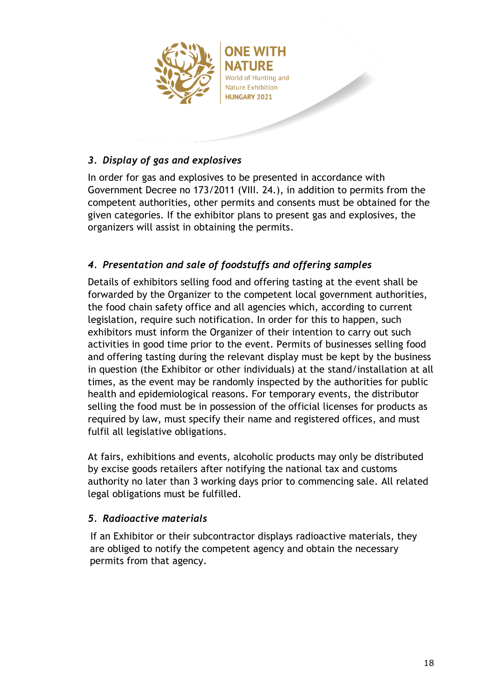

# *3. Display of gas and explosives*

In order for gas and explosives to be presented in accordance with Government Decree no 173/2011 (VIII. 24.), in addition to permits from the competent authorities, other permits and consents must be obtained for the given categories. If the exhibitor plans to present gas and explosives, the organizers will assist in obtaining the permits.

# *4. Presentation and sale of foodstuffs and offering samples*

Details of exhibitors selling food and offering tasting at the event shall be forwarded by the Organizer to the competent local government authorities, the food chain safety office and all agencies which, according to current legislation, require such notification. In order for this to happen, such exhibitors must inform the Organizer of their intention to carry out such activities in good time prior to the event. Permits of businesses selling food and offering tasting during the relevant display must be kept by the business in question (the Exhibitor or other individuals) at the stand/installation at all times, as the event may be randomly inspected by the authorities for public health and epidemiological reasons. For temporary events, the distributor selling the food must be in possession of the official licenses for products as required by law, must specify their name and registered offices, and must fulfil all legislative obligations.

At fairs, exhibitions and events, alcoholic products may only be distributed by excise goods retailers after notifying the national tax and customs authority no later than 3 working days prior to commencing sale. All related legal obligations must be fulfilled.

## *5. Radioactive materials*

If an Exhibitor or their subcontractor displays radioactive materials, they are obliged to notify the competent agency and obtain the necessary permits from that agency.